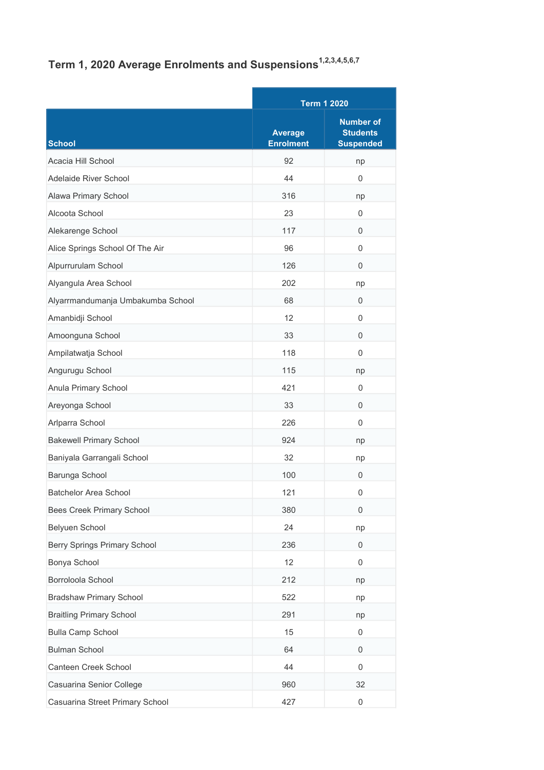## Term 1, 2020 Average Enrolments and Suspensions<sup>1,2,3,4,5,6,7</sup>

|                                   |                                    | <b>Term 1 2020</b>                                      |  |
|-----------------------------------|------------------------------------|---------------------------------------------------------|--|
| <b>School</b>                     | <b>Average</b><br><b>Enrolment</b> | <b>Number of</b><br><b>Students</b><br><b>Suspended</b> |  |
| Acacia Hill School                | 92                                 | np                                                      |  |
| Adelaide River School             | 44                                 | $\Omega$                                                |  |
| Alawa Primary School              | 316                                | np                                                      |  |
| Alcoota School                    | 23                                 | $\Omega$                                                |  |
| Alekarenge School                 | 117                                | 0                                                       |  |
| Alice Springs School Of The Air   | 96                                 | $\mathbf 0$                                             |  |
| Alpurrurulam School               | 126                                | 0                                                       |  |
| Alyangula Area School             | 202                                | np                                                      |  |
| Alyarrmandumanja Umbakumba School | 68                                 | 0                                                       |  |
| Amanbidji School                  | 12                                 | $\mathbf 0$                                             |  |
| Amoonguna School                  | 33                                 | $\mathbf 0$                                             |  |
| Ampilatwatja School               | 118                                | $\mathbf 0$                                             |  |
| Angurugu School                   | 115                                | np                                                      |  |
| Anula Primary School              | 421                                | $\mathbf 0$                                             |  |
| Areyonga School                   | 33                                 | $\mathbf{0}$                                            |  |
| Arlparra School                   | 226                                | $\Omega$                                                |  |
| <b>Bakewell Primary School</b>    | 924                                | np                                                      |  |
| Baniyala Garrangali School        | 32                                 | np                                                      |  |
| Barunga School                    | 100                                | 0                                                       |  |
| <b>Batchelor Area School</b>      | 121                                | $\mathbf{0}$                                            |  |
| <b>Bees Creek Primary School</b>  | 380                                | $\mathbf 0$                                             |  |
| Belyuen School                    | 24                                 | np                                                      |  |
| Berry Springs Primary School      | 236                                | 0                                                       |  |
| Bonya School                      | 12                                 | $\mathbf 0$                                             |  |
| Borroloola School                 | 212                                | np                                                      |  |
| <b>Bradshaw Primary School</b>    | 522                                | np                                                      |  |
| <b>Braitling Primary School</b>   | 291                                | np                                                      |  |
| <b>Bulla Camp School</b>          | 15                                 | 0                                                       |  |
| <b>Bulman School</b>              | 64                                 | $\mathbf 0$                                             |  |
| Canteen Creek School              | 44                                 | 0                                                       |  |
| Casuarina Senior College          | 960                                | 32                                                      |  |
| Casuarina Street Primary School   | 427                                | $\boldsymbol{0}$                                        |  |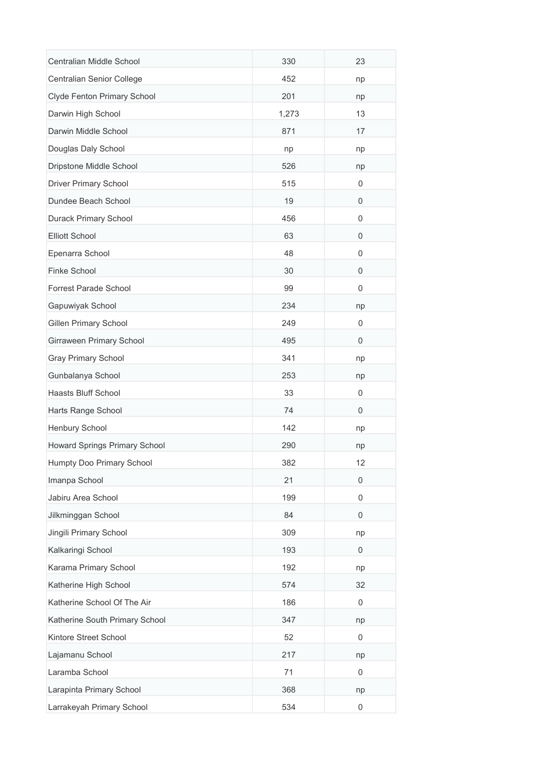| Centralian Middle School       | 330   | 23          |
|--------------------------------|-------|-------------|
| Centralian Senior College      | 452   | np          |
| Clyde Fenton Primary School    | 201   | np          |
| Darwin High School             | 1,273 | 13          |
| Darwin Middle School           | 871   | 17          |
| Douglas Daly School            | np    | np          |
| Dripstone Middle School        | 526   | np          |
| <b>Driver Primary School</b>   | 515   | 0           |
| Dundee Beach School            | 19    | 0           |
| Durack Primary School          | 456   | 0           |
| <b>Elliott School</b>          | 63    | $\mathbf 0$ |
| Epenarra School                | 48    | 0           |
| Finke School                   | 30    | 0           |
| Forrest Parade School          | 99    | 0           |
| Gapuwiyak School               | 234   | np          |
| <b>Gillen Primary School</b>   | 249   | 0           |
| Girraween Primary School       | 495   | 0           |
| <b>Gray Primary School</b>     | 341   | np          |
| Gunbalanya School              | 253   | np          |
| Haasts Bluff School            | 33    | 0           |
| Harts Range School             | 74    | 0           |
| Henbury School                 | 142   | np          |
| Howard Springs Primary School  | 290   | np          |
| Humpty Doo Primary School      | 382   | 12          |
| Imanpa School                  | 21    | 0           |
| Jabiru Area School             | 199   | 0           |
| Jilkminggan School             | 84    | 0           |
| Jingili Primary School         | 309   | np          |
| Kalkaringi School              | 193   | 0           |
| Karama Primary School          | 192   | np          |
| Katherine High School          | 574   | 32          |
| Katherine School Of The Air    | 186   | 0           |
| Katherine South Primary School | 347   | np          |
| Kintore Street School          | 52    | 0           |
| Lajamanu School                | 217   | np          |
| Laramba School                 | 71    | 0           |
| Larapinta Primary School       | 368   | np          |
| Larrakeyah Primary School      | 534   | 0           |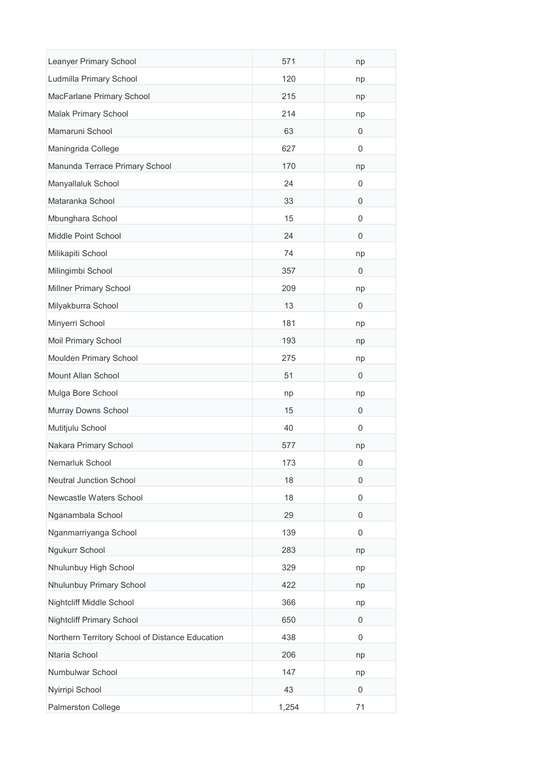| Leanyer Primary School                          | 571   | np          |
|-------------------------------------------------|-------|-------------|
| Ludmilla Primary School                         | 120   | np          |
| MacFarlane Primary School                       | 215   | np          |
| Malak Primary School                            | 214   | np          |
| Mamaruni School                                 | 63    | 0           |
| Maningrida College                              | 627   | 0           |
| Manunda Terrace Primary School                  | 170   | np          |
| Manyallaluk School                              | 24    | 0           |
| Mataranka School                                | 33    | 0           |
| Mbunghara School                                | 15    | 0           |
| Middle Point School                             | 24    | 0           |
| Milikapiti School                               | 74    | np          |
| Milingimbi School                               | 357   | $\mathbf 0$ |
| Millner Primary School                          | 209   | np          |
| Milyakburra School                              | 13    | $\mathbf 0$ |
| Minyerri School                                 | 181   | np          |
| Moil Primary School                             | 193   | np          |
| Moulden Primary School                          | 275   | np          |
| Mount Allan School                              | 51    | 0           |
| Mulga Bore School                               | np    | np          |
| Murray Downs School                             | 15    | 0           |
| Mutitjulu School                                | 40    | 0           |
| Nakara Primary School                           | 577   | np          |
| Nemarluk School                                 | 173   | 0           |
| <b>Neutral Junction School</b>                  | 18    | 0           |
| Newcastle Waters School                         | 18    | 0           |
| Nganambala School                               | 29    | 0           |
| Nganmarriyanga School                           | 139   | 0           |
| Ngukurr School                                  | 283   | np          |
| Nhulunbuy High School                           | 329   | np          |
| Nhulunbuy Primary School                        | 422   | np          |
| Nightcliff Middle School                        | 366   | np          |
| <b>Nightcliff Primary School</b>                | 650   | 0           |
| Northern Territory School of Distance Education | 438   | 0           |
| Ntaria School                                   | 206   | np          |
| Numbulwar School                                | 147   | np          |
| Nyirripi School                                 | 43    | $\mathbf 0$ |
| Palmerston College                              | 1,254 | 71          |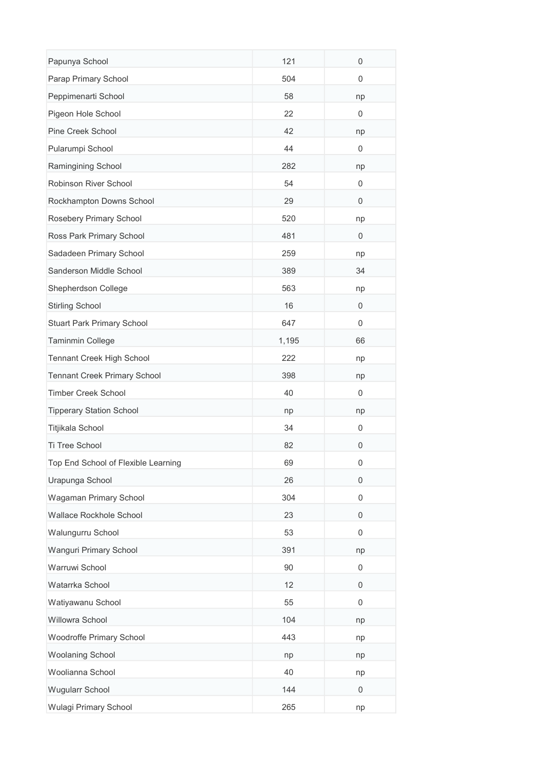| Papunya School                      | 121   | $\mathbf 0$ |
|-------------------------------------|-------|-------------|
| Parap Primary School                | 504   | 0           |
| Peppimenarti School                 | 58    | np          |
| Pigeon Hole School                  | 22    | 0           |
| Pine Creek School                   | 42    | np          |
| Pularumpi School                    | 44    | 0           |
| Ramingining School                  | 282   | np          |
| Robinson River School               | 54    | 0           |
| Rockhampton Downs School            | 29    | $\mathbf 0$ |
| Rosebery Primary School             | 520   | np          |
| Ross Park Primary School            | 481   | 0           |
| Sadadeen Primary School             | 259   | np          |
| Sanderson Middle School             | 389   | 34          |
| Shepherdson College                 | 563   | np          |
| <b>Stirling School</b>              | 16    | 0           |
| <b>Stuart Park Primary School</b>   | 647   | 0           |
| Taminmin College                    | 1,195 | 66          |
| Tennant Creek High School           | 222   | np          |
| <b>Tennant Creek Primary School</b> | 398   | np          |
| <b>Timber Creek School</b>          | 40    | 0           |
| <b>Tipperary Station School</b>     | np    | np          |
| Titjikala School                    | 34    | 0           |
| Ti Tree School                      | 82    | $\mathbf 0$ |
| Top End School of Flexible Learning | 69    | 0           |
| Urapunga School                     | 26    | 0           |
| Wagaman Primary School              | 304   | 0           |
| Wallace Rockhole School             | 23    | 0           |
| Walungurru School                   | 53    | 0           |
| Wanguri Primary School              | 391   | np          |
| Warruwi School                      | 90    | 0           |
| Watarrka School                     | 12    | 0           |
| Watiyawanu School                   | 55    | $\mathbf 0$ |
| Willowra School                     | 104   | np          |
| Woodroffe Primary School            | 443   | np          |
| <b>Woolaning School</b>             | np    | np          |
| Woolianna School                    | 40    | np          |
| <b>Wugularr School</b>              | 144   | 0           |
| Wulagi Primary School               | 265   | np          |